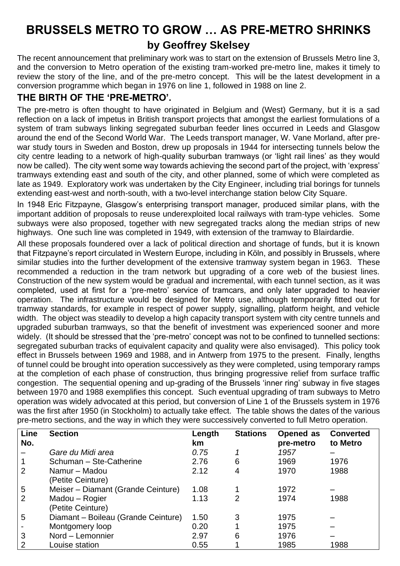# **BRUSSELS METRO TO GROW … AS PRE-METRO SHRINKS by Geoffrey Skelsey**

The recent announcement that preliminary work was to start on the extension of Brussels Metro line 3, and the conversion to Metro operation of the existing tram-worked pre-metro line, makes it timely to review the story of the line, and of the pre-metro concept. This will be the latest development in a conversion programme which began in 1976 on line 1, followed in 1988 on line 2.

# **THE BIRTH OF THE 'PRE-METRO'.**

The pre-metro is often thought to have originated in Belgium and (West) Germany, but it is a sad reflection on a lack of impetus in British transport projects that amongst the earliest formulations of a system of tram subways linking segregated suburban feeder lines occurred in Leeds and Glasgow around the end of the Second World War. The Leeds transport manager, W. Vane Morland, after prewar study tours in Sweden and Boston, drew up proposals in 1944 for intersecting tunnels below the city centre leading to a network of high-quality suburban tramways (or 'light rail lines' as they would now be called). The city went some way towards achieving the second part of the project, with 'express' tramways extending east and south of the city, and other planned, some of which were completed as late as 1949. Exploratory work was undertaken by the City Engineer, including trial borings for tunnels extending east-west and north-south, with a two-level interchange station below City Square.

In 1948 Eric Fitzpayne, Glasgow's enterprising transport manager, produced similar plans, with the important addition of proposals to reuse underexploited local railways with tram-type vehicles. Some subways were also proposed, together with new segregated tracks along the median strips of new highways. One such line was completed in 1949, with extension of the tramway to Blairdardie.

All these proposals foundered over a lack of political direction and shortage of funds, but it is known that Fitzpayne's report circulated in Western Europe, including in Köln, and possibly in Brussels, where similar studies into the further development of the extensive tramway system began in 1963. These recommended a reduction in the tram network but upgrading of a core web of the busiest lines. Construction of the new system would be gradual and incremental, with each tunnel section, as it was completed, used at first for a 'pre-metro' service of tramcars, and only later upgraded to heavier operation. The infrastructure would be designed for Metro use, although temporarily fitted out for tramway standards, for example in respect of power supply, signalling, platform height, and vehicle width. The object was steadily to develop a high capacity transport system with city centre tunnels and upgraded suburban tramways, so that the benefit of investment was experienced sooner and more widely. (It should be stressed that the 'pre-metro' concept was not to be confined to tunnelled sections: segregated suburban tracks of equivalent capacity and quality were also envisaged). This policy took effect in Brussels between 1969 and 1988, and in Antwerp from 1975 to the present. Finally, lengths of tunnel could be brought into operation successively as they were completed, using temporary ramps at the completion of each phase of construction, thus bringing progressive relief from surface traffic congestion. The sequential opening and up-grading of the Brussels 'inner ring' subway in five stages between 1970 and 1988 exemplifies this concept. Such eventual upgrading of tram subways to Metro operation was widely advocated at this period, but conversion of Line 1 of the Brussels system in 1976 was the first after 1950 (in Stockholm) to actually take effect. The table shows the dates of the various pre-metro sections, and the way in which they were successively converted to full Metro operation.

| Line<br>No.    | <b>Section</b>                      | Length<br>km | <b>Stations</b> | Opened as<br>pre-metro | <b>Converted</b><br>to Metro |
|----------------|-------------------------------------|--------------|-----------------|------------------------|------------------------------|
|                | Gare du Midi area                   | 0.75         |                 | 1957                   |                              |
| 1              | Schuman - Ste-Catherine             | 2.76         | 6               | 1969                   | 1976                         |
| 2              | Namur - Madou                       | 2.12         | 4               | 1970                   | 1988                         |
|                | (Petite Ceinture)                   |              |                 |                        |                              |
| 5              | Meiser - Diamant (Grande Ceinture)  | 1.08         |                 | 1972                   |                              |
| $\overline{2}$ | Madou - Rogier                      | 1.13         | 2               | 1974                   | 1988                         |
|                | (Petite Ceinture)                   |              |                 |                        |                              |
| 5              | Diamant - Boileau (Grande Ceinture) | 1.50         | 3               | 1975                   |                              |
|                | Montgomery loop                     | 0.20         |                 | 1975                   |                              |
| 3              | Nord - Lemonnier                    | 2.97         | 6               | 1976                   |                              |
| $\overline{2}$ | Louise station                      | 0.55         |                 | 1985                   | 1988                         |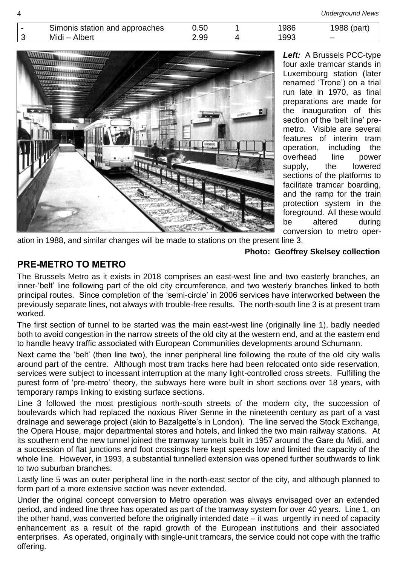| Simonis station and approaches | 0.50 | 1986 | 1988 (part) |
|--------------------------------|------|------|-------------|
| Midi - Albert                  | 2.99 | 1993 |             |



*Left:* A Brussels PCC-type four axle tramcar stands in Luxembourg station (later renamed 'Trone') on a trial run late in 1970, as final preparations are made for the inauguration of this section of the 'belt line' premetro. Visible are several features of interim tram operation, including the overhead line power supply, the lowered sections of the platforms to facilitate tramcar boarding, and the ramp for the train protection system in the foreground. All these would be altered during conversion to metro oper-

ation in 1988, and similar changes will be made to stations on the present line 3.

#### **Photo: Geoffrey Skelsey collection**

#### **PRE-METRO TO METRO**

The Brussels Metro as it exists in 2018 comprises an east-west line and two easterly branches, an inner-'belt' line following part of the old city circumference, and two westerly branches linked to both principal routes. Since completion of the 'semi-circle' in 2006 services have interworked between the previously separate lines, not always with trouble-free results. The north-south line 3 is at present tram worked.

The first section of tunnel to be started was the main east-west line (originally line 1), badly needed both to avoid congestion in the narrow streets of the old city at the western end, and at the eastern end to handle heavy traffic associated with European Communities developments around Schumann.

Next came the 'belt' (then line two), the inner peripheral line following the route of the old city walls around part of the centre. Although most tram tracks here had been relocated onto side reservation, services were subject to incessant interruption at the many light-controlled cross streets. Fulfilling the purest form of 'pre-metro' theory, the subways here were built in short sections over 18 years, with temporary ramps linking to existing surface sections.

Line 3 followed the most prestigious north-south streets of the modern city, the succession of boulevards which had replaced the noxious River Senne in the nineteenth century as part of a vast drainage and sewerage project (akin to Bazalgette's in London). The line served the Stock Exchange, the Opera House, major departmental stores and hotels, and linked the two main railway stations. At its southern end the new tunnel joined the tramway tunnels built in 1957 around the Gare du Midi, and a succession of flat junctions and foot crossings here kept speeds low and limited the capacity of the whole line. However, in 1993, a substantial tunnelled extension was opened further southwards to link to two suburban branches.

Lastly line 5 was an outer peripheral line in the north-east sector of the city, and although planned to form part of a more extensive section was never extended.

Under the original concept conversion to Metro operation was always envisaged over an extended period, and indeed line three has operated as part of the tramway system for over 40 years. Line 1, on the other hand, was converted before the originally intended date – it was urgently in need of capacity enhancement as a result of the rapid growth of the European institutions and their associated enterprises. As operated, originally with single-unit tramcars, the service could not cope with the traffic offering.